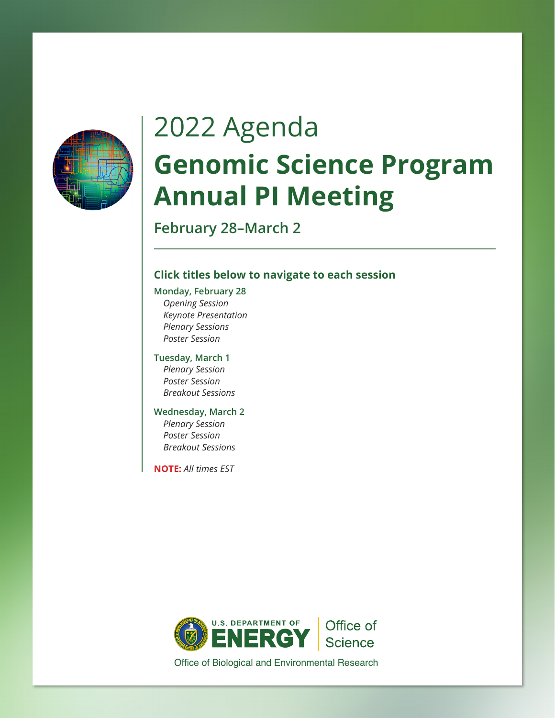

# 2022 Agenda **Genomic Science Program Annual PI Meeting**

**February 28–March 2**

### **Click titles below to navigate to each session**

**[Monday, February 28](#page-1-0)** *Opening Session [Keynote Presentation](#page-1-0) [Plenary Sessions](#page-1-0) [Poster Session](#page-2-0)*

**[Tuesday, March 1](#page-3-0)** *Plenary Session Poster Session [Breakout Sessions](#page-4-0)*

### **[Wednesday, March 2](#page-8-0)**

 *Plenary Session Poster Session [Breakout Sessions](#page-9-0)*

**NOTE:** *All times EST*



Office of Biological and Environmental Research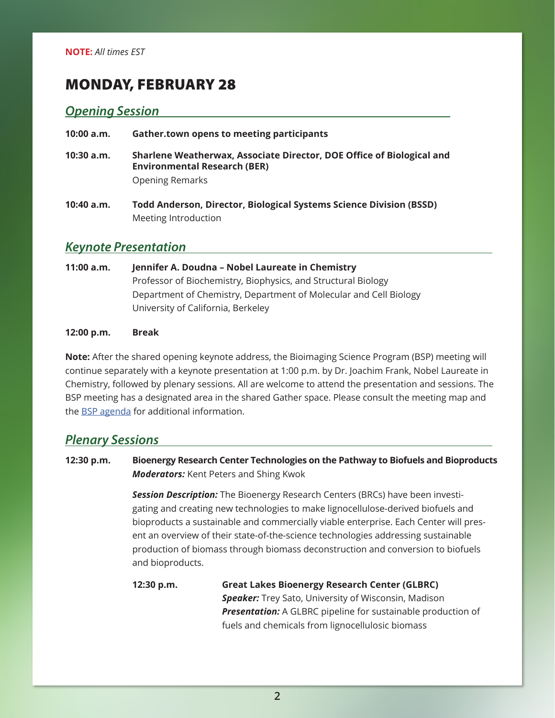### <span id="page-1-0"></span>MONDAY, FEBRUARY 28

### *Opening Session*

#### **10:00 a.m. Gather.town opens to meeting participants**

- **10:30 a.m. Sharlene Weatherwax, Associate Director, DOE Office of Biological and Environmental Research (BER)** Opening Remarks
- **10:40 a.m. Todd Anderson, Director, Biological Systems Science Division (BSSD)** Meeting Introduction

### *Keynote Presentation*

**11:00 a.m. Jennifer A. Doudna – Nobel Laureate in Chemistry** Professor of Biochemistry, Biophysics, and Structural Biology Department of Chemistry, Department of Molecular and Cell Biology University of California, Berkeley

#### **12:00 p.m. Break**

**Note:** After the shared opening keynote address, the Bioimaging Science Program (BSP) meeting will continue separately with a keynote presentation at 1:00 p.m. by Dr. Joachim Frank, Nobel Laureate in Chemistry, followed by plenary sessions. All are welcome to attend the presentation and sessions. The BSP meeting has a designated area in the shared Gather space. Please consult the meeting map and the [BSP agenda](https://custom.cvent.com/DCBD4ADAAD004096B1E4AD96F3C8049E/files/event/be7d36a6293f4b828fd7cf00893d8dfe/d2c53f1dc281442f9557ddc64690a556.pdf) for additional information.

### *Plenary Sessions*

**12:30 p.m. Bioenergy Research Center Technologies on the Pathway to Biofuels and Bioproducts** *Moderators:* Kent Peters and Shing Kwok

> *Session Description:* The Bioenergy Research Centers (BRCs) have been investigating and creating new technologies to make lignocellulose-derived biofuels and bioproducts a sustainable and commercially viable enterprise. Each Center will present an overview of their state-of-the-science technologies addressing sustainable production of biomass through biomass deconstruction and conversion to biofuels and bioproducts.

**12:30 p.m. Great Lakes Bioenergy Research Center (GLBRC)** *Speaker:* Trey Sato, University of Wisconsin, Madison *Presentation:* A GLBRC pipeline for sustainable production of fuels and chemicals from lignocellulosic biomass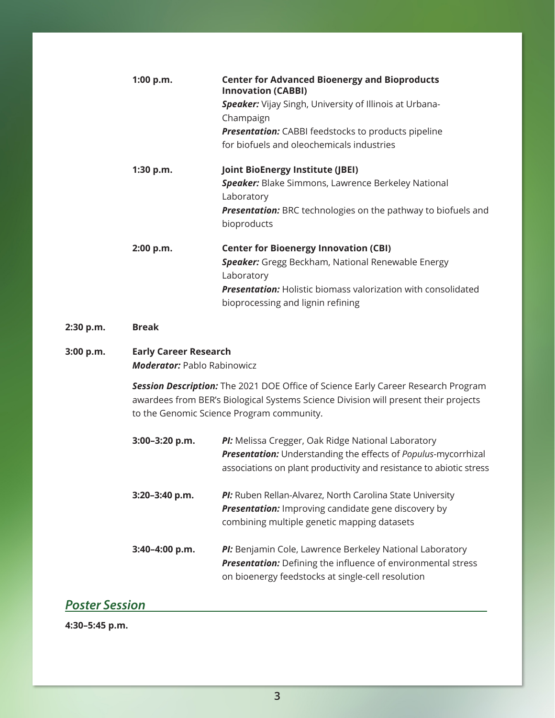<span id="page-2-0"></span>

|           | 1:00 p.m.                                                          | <b>Center for Advanced Bioenergy and Bioproducts</b><br><b>Innovation (CABBI)</b><br>Speaker: Vijay Singh, University of Illinois at Urbana-<br>Champaign<br><b>Presentation:</b> CABBI feedstocks to products pipeline<br>for biofuels and oleochemicals industries |
|-----------|--------------------------------------------------------------------|----------------------------------------------------------------------------------------------------------------------------------------------------------------------------------------------------------------------------------------------------------------------|
|           | 1:30 p.m.                                                          | <b>Joint BioEnergy Institute (JBEI)</b><br><b>Speaker:</b> Blake Simmons, Lawrence Berkeley National<br>Laboratory<br><b>Presentation:</b> BRC technologies on the pathway to biofuels and<br>bioproducts                                                            |
|           | 2:00 p.m.                                                          | <b>Center for Bioenergy Innovation (CBI)</b><br>Speaker: Gregg Beckham, National Renewable Energy<br>Laboratory<br><b>Presentation:</b> Holistic biomass valorization with consolidated<br>bioprocessing and lignin refining                                         |
| 2:30 p.m. | <b>Break</b>                                                       |                                                                                                                                                                                                                                                                      |
| 3:00 p.m. | <b>Early Career Research</b><br><b>Moderator: Pablo Rabinowicz</b> |                                                                                                                                                                                                                                                                      |
|           |                                                                    | Session Description: The 2021 DOE Office of Science Early Career Research Program<br>awardees from BER's Biological Systems Science Division will present their projects<br>to the Genomic Science Program community.                                                |
|           | 3:00-3:20 p.m.                                                     | PI: Melissa Cregger, Oak Ridge National Laboratory<br>Presentation: Understanding the effects of Populus-mycorrhizal<br>associations on plant productivity and resistance to abiotic stress                                                                          |
|           | 3:20-3:40 p.m.                                                     | PI: Ruben Rellan-Alvarez, North Carolina State University<br><b>Presentation:</b> Improving candidate gene discovery by<br>combining multiple genetic mapping datasets                                                                                               |
|           | 3:40-4:00 p.m.                                                     | PI: Benjamin Cole, Lawrence Berkeley National Laboratory<br><b>Presentation:</b> Defining the influence of environmental stress<br>on bioenergy feedstocks at single-cell resolution                                                                                 |

# *Poster Session*

**4:30–5:45 p.m.**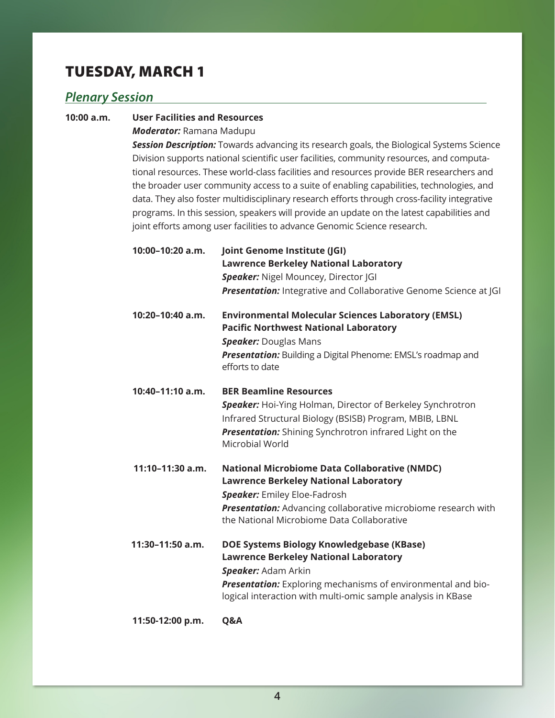# <span id="page-3-0"></span>TUESDAY, MARCH 1

### *Plenary Session*

#### **10:00 a.m. User Facilities and Resources**

*Moderator:* Ramana Madupu

 *Session Description:* Towards advancing its research goals, the Biological Systems Science Division supports national scientific user facilities, community resources, and computational resources. These world-class facilities and resources provide BER researchers and the broader user community access to a suite of enabling capabilities, technologies, and data. They also foster multidisciplinary research efforts through cross-facility integrative programs. In this session, speakers will provide an update on the latest capabilities and joint efforts among user facilities to advance Genomic Science research.

- **10:00–10:20 a.m. Joint Genome Institute (JGI) Lawrence Berkeley National Laboratory Speaker:** Nigel Mouncey, Director [GI **Presentation:** Integrative and Collaborative Genome Science at IGI
- **10:20–10:40 a.m. Environmental Molecular Sciences Laboratory (EMSL) Pacific Northwest National Laboratory** *Speaker:* Douglas Mans *Presentation:* Building a Digital Phenome: EMSL's roadmap and efforts to date
- **10:40–11:10 a.m. BER Beamline Resources**

 *Speaker:* Hoi-Ying Holman, Director of Berkeley Synchrotron Infrared Structural Biology (BSISB) Program, MBIB, LBNL  *Presentation:* Shining Synchrotron infrared Light on the Microbial World

- **11:10–11:30 a.m. National Microbiome Data Collaborative (NMDC) Lawrence Berkeley National Laboratory** *Speaker:* Emiley Eloe-Fadrosh **Presentation:** Advancing collaborative microbiome research with the National Microbiome Data Collaborative
- **11:30–11:50 a.m. DOE Systems Biology Knowledgebase (KBase) Lawrence Berkeley National Laboratory** *Speaker:* Adam Arkin *Presentation:* Exploring mechanisms of environmental and biological interaction with multi-omic sample analysis in KBase

**11:50-12:00 p.m. Q&A**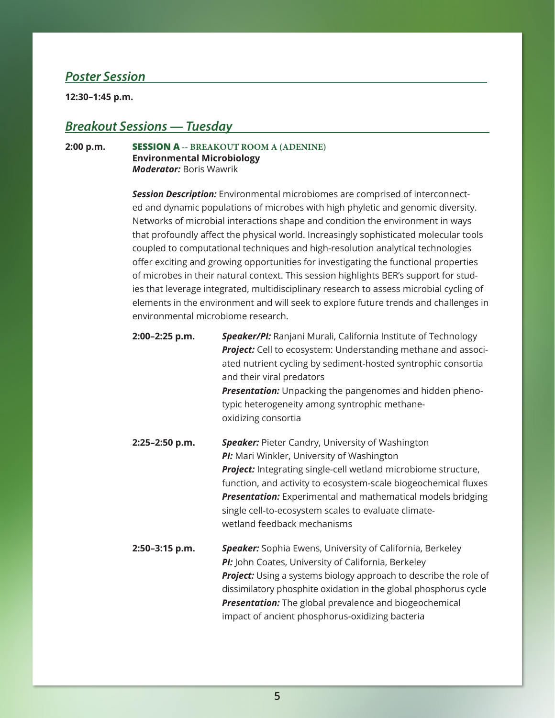### <span id="page-4-0"></span>*Poster Session*

**12:30–1:45 p.m.**

### *Breakout Sessions — Tuesday*

#### **2:00 p.m. SESSION A -- BREAKOUT ROOM A (ADENINE) Environmental Microbiology** *Moderator:* Boris Wawrik

*Session Description:* Environmental microbiomes are comprised of interconnected and dynamic populations of microbes with high phyletic and genomic diversity. Networks of microbial interactions shape and condition the environment in ways that profoundly affect the physical world. Increasingly sophisticated molecular tools coupled to computational techniques and high-resolution analytical technologies offer exciting and growing opportunities for investigating the functional properties of microbes in their natural context. This session highlights BER's support for studies that leverage integrated, multidisciplinary research to assess microbial cycling of elements in the environment and will seek to explore future trends and challenges in environmental microbiome research.

| 2:00-2:25 p.m. | <b>Speaker/PI:</b> Ranjani Murali, California Institute of Technology |
|----------------|-----------------------------------------------------------------------|
|                | <b>Project:</b> Cell to ecosystem: Understanding methane and associ-  |
|                | ated nutrient cycling by sediment-hosted syntrophic consortia         |
|                | and their viral predators                                             |
|                | <b>Presentation:</b> Unpacking the pangenomes and hidden pheno-       |
|                | typic heterogeneity among syntrophic methane-                         |
|                | oxidizing consortia                                                   |
|                |                                                                       |

- **2:25–2:50 p.m.** *Speaker:* Pieter Candry, University of Washington *PI:* Mari Winkler, University of Washington **Project:** Integrating single-cell wetland microbiome structure, function, and activity to ecosystem-scale biogeochemical fluxes *Presentation:* Experimental and mathematical models bridging single cell-to-ecosystem scales to evaluate climatewetland feedback mechanisms
- **2:50–3:15 p.m.** *Speaker:* Sophia Ewens, University of California, Berkeley *PI:* John Coates, University of California, Berkeley **Project:** Using a systems biology approach to describe the role of dissimilatory phosphite oxidation in the global phosphorus cycle *Presentation:* The global prevalence and biogeochemical impact of ancient phosphorus-oxidizing bacteria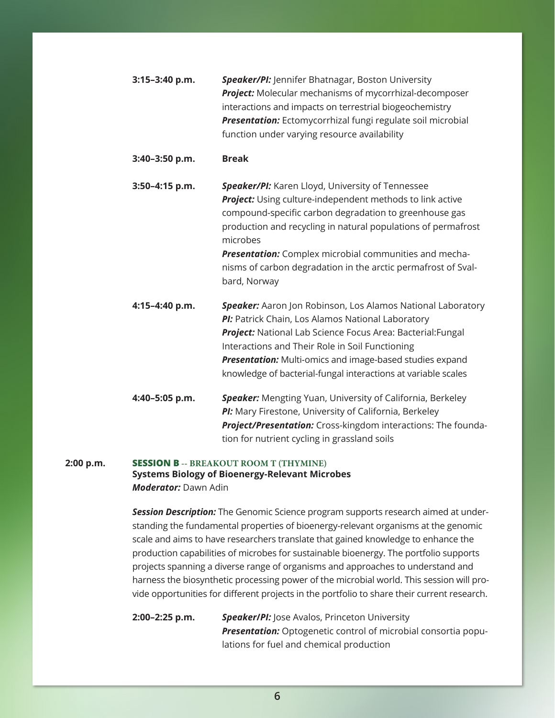| 3:15-3:40 p.m. | Speaker/PI: Jennifer Bhatnagar, Boston University<br>Project: Molecular mechanisms of mycorrhizal-decomposer<br>interactions and impacts on terrestrial biogeochemistry<br>Presentation: Ectomycorrhizal fungi regulate soil microbial<br>function under varying resource availability                                                                                                          |
|----------------|-------------------------------------------------------------------------------------------------------------------------------------------------------------------------------------------------------------------------------------------------------------------------------------------------------------------------------------------------------------------------------------------------|
| 3:40-3:50 p.m. | <b>Break</b>                                                                                                                                                                                                                                                                                                                                                                                    |
| 3:50-4:15 p.m. | Speaker/PI: Karen Lloyd, University of Tennessee<br>Project: Using culture-independent methods to link active<br>compound-specific carbon degradation to greenhouse gas<br>production and recycling in natural populations of permafrost<br>microbes<br>Presentation: Complex microbial communities and mecha-<br>nisms of carbon degradation in the arctic permafrost of Sval-<br>bard, Norway |
| 4:15-4:40 p.m. | Speaker: Aaron Jon Robinson, Los Alamos National Laboratory<br>PI: Patrick Chain, Los Alamos National Laboratory<br>Project: National Lab Science Focus Area: Bacterial: Fungal<br>Interactions and Their Role in Soil Functioning<br><b>Presentation:</b> Multi-omics and image-based studies expand<br>knowledge of bacterial-fungal interactions at variable scales                          |
| 4:40-5:05 p.m. | Speaker: Mengting Yuan, University of California, Berkeley<br>PI: Mary Firestone, University of California, Berkeley<br>Project/Presentation: Cross-kingdom interactions: The founda-                                                                                                                                                                                                           |

#### **2:00 p.m. SESSION B -- BREAKOUT ROOM T (THYMINE) Systems Biology of Bioenergy-Relevant Microbes** *Moderator:* Dawn Adin

*Session Description:* The Genomic Science program supports research aimed at understanding the fundamental properties of bioenergy-relevant organisms at the genomic scale and aims to have researchers translate that gained knowledge to enhance the production capabilities of microbes for sustainable bioenergy. The portfolio supports projects spanning a diverse range of organisms and approaches to understand and harness the biosynthetic processing power of the microbial world. This session will provide opportunities for different projects in the portfolio to share their current research.

tion for nutrient cycling in grassland soils

**2:00–2:25 p.m.** *Speaker***/***PI:* Jose Avalos, Princeton University *Presentation:* Optogenetic control of microbial consortia populations for fuel and chemical production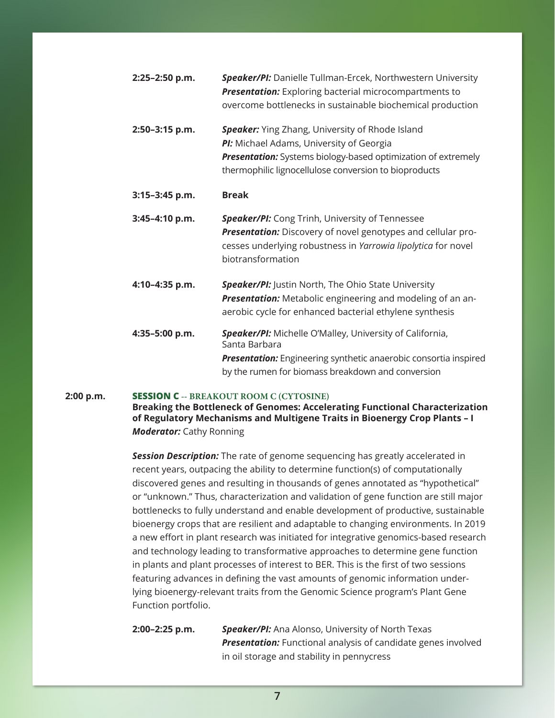| 2:25-2:50 p.m.   | <b>Speaker/PI:</b> Danielle Tullman-Ercek, Northwestern University<br><b>Presentation:</b> Exploring bacterial microcompartments to<br>overcome bottlenecks in sustainable biochemical production                                   |
|------------------|-------------------------------------------------------------------------------------------------------------------------------------------------------------------------------------------------------------------------------------|
| 2:50-3:15 p.m.   | <b>Speaker:</b> Ying Zhang, University of Rhode Island<br>PI: Michael Adams, University of Georgia<br><b>Presentation:</b> Systems biology-based optimization of extremely<br>thermophilic lignocellulose conversion to bioproducts |
| $3:15-3:45$ p.m. | <b>Break</b>                                                                                                                                                                                                                        |
| $3:45-4:10 p.m.$ | <b>Speaker/PI:</b> Cong Trinh, University of Tennessee<br><b>Presentation:</b> Discovery of novel genotypes and cellular pro-<br>cesses underlying robustness in Yarrowia lipolytica for novel                                      |

**4:10–4:35 p.m.** *Speaker/PI:* Justin North, The Ohio State University *Presentation:* Metabolic engineering and modeling of an anaerobic cycle for enhanced bacterial ethylene synthesis

biotransformation

**4:35–5:00 p.m.** *Speaker/PI:* Michelle O'Malley, University of California, Santa Barbara *Presentation:* Engineering synthetic anaerobic consortia inspired by the rumen for biomass breakdown and conversion

#### **2:00 p.m. SESSION C -- BREAKOUT ROOM C (CYTOSINE)**

**Breaking the Bottleneck of Genomes: Accelerating Functional Characterization of Regulatory Mechanisms and Multigene Traits in Bioenergy Crop Plants – I** *Moderator:* Cathy Ronning

*Session Description:* The rate of genome sequencing has greatly accelerated in recent years, outpacing the ability to determine function(s) of computationally discovered genes and resulting in thousands of genes annotated as "hypothetical" or "unknown." Thus, characterization and validation of gene function are still major bottlenecks to fully understand and enable development of productive, sustainable bioenergy crops that are resilient and adaptable to changing environments. In 2019 a new effort in plant research was initiated for integrative genomics-based research and technology leading to transformative approaches to determine gene function in plants and plant processes of interest to BER. This is the first of two sessions featuring advances in defining the vast amounts of genomic information underlying bioenergy-relevant traits from the Genomic Science program's Plant Gene Function portfolio.

**2:00–2:25 p.m.** *Speaker/PI:* Ana Alonso, University of North Texas *Presentation:* Functional analysis of candidate genes involved in oil storage and stability in pennycress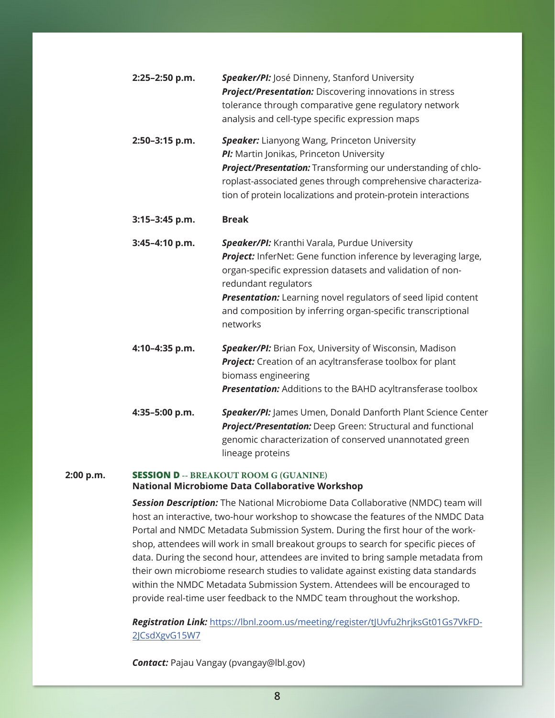| $2:25-2:50$ p.m. | <b>Speaker/PI:</b> José Dinneny, Stanford University           |
|------------------|----------------------------------------------------------------|
|                  | <b>Project/Presentation:</b> Discovering innovations in stress |
|                  | tolerance through comparative gene regulatory network          |
|                  | analysis and cell-type specific expression maps                |

**2:50–3:15 p.m.** *Speaker:* Lianyong Wang, Princeton University **PI:** Martin Jonikas, Princeton University *Project/Presentation:* Transforming our understanding of chloroplast-associated genes through comprehensive characterization of protein localizations and protein-protein interactions

#### **3:15–3:45 p.m. Break**

**3:45–4:10 p.m.** *Speaker/PI:* Kranthi Varala, Purdue University **Project:** InferNet: Gene function inference by leveraging large, organ-specific expression datasets and validation of nonredundant regulators **Presentation:** Learning novel regulators of seed lipid content

and composition by inferring organ-specific transcriptional networks

- **4:10–4:35 p.m.** *Speaker/PI:* Brian Fox, University of Wisconsin, Madison *Project:* Creation of an acyltransferase toolbox for plant biomass engineering *Presentation:* Additions to the BAHD acyltransferase toolbox
- **4:35–5:00 p.m.** *Speaker/PI:* James Umen, Donald Danforth Plant Science Center *Project/Presentation:* Deep Green: Structural and functional genomic characterization of conserved unannotated green lineage proteins

#### **2:00 p.m. SESSION D -- BREAKOUT ROOM G (GUANINE) National Microbiome Data Collaborative Workshop**

*Session Description:* The National Microbiome Data Collaborative (NMDC) team will host an interactive, two-hour workshop to showcase the features of the NMDC Data Portal and NMDC Metadata Submission System. During the first hour of the workshop, attendees will work in small breakout groups to search for specific pieces of data. During the second hour, attendees are invited to bring sample metadata from their own microbiome research studies to validate against existing data standards within the NMDC Metadata Submission System. Attendees will be encouraged to provide real-time user feedback to the NMDC team throughout the workshop.

*Registration Link:* [https://lbnl.zoom.us/meeting/register/tJUvfu2hrjksGt01Gs7VkFD-](https://lbnl.zoom.us/meeting/register/tJUvfu2hrjksGt01Gs7VkFD2JCsdXgvG15W7)2ICsdXgvG15W7

*Contact:* Pajau Vangay (pvangay@lbl.gov)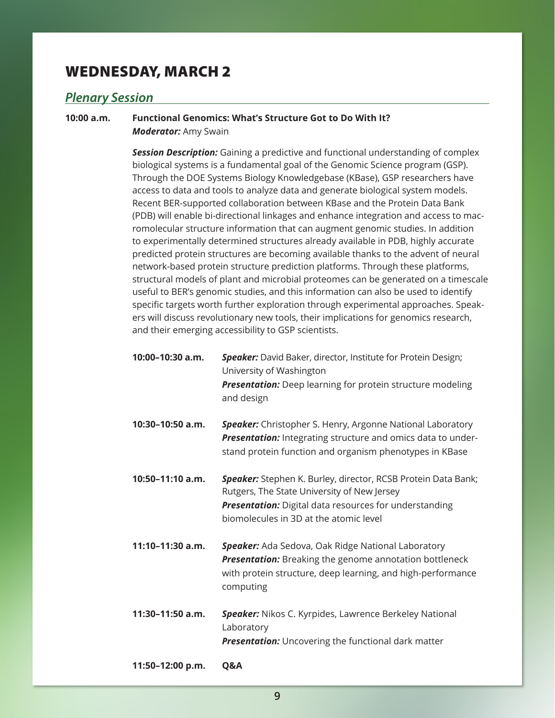### <span id="page-8-0"></span>WEDNESDAY, MARCH 2

### *Plenary Session*

**10:00 a.m. Functional Genomics: What's Structure Got to Do With It?** *Moderator:* Amy Swain

> *Session Description:* Gaining a predictive and functional understanding of complex biological systems is a fundamental goal of the Genomic Science program (GSP). Through the DOE Systems Biology Knowledgebase (KBase), GSP researchers have access to data and tools to analyze data and generate biological system models. Recent BER-supported collaboration between KBase and the Protein Data Bank (PDB) will enable bi-directional linkages and enhance integration and access to macromolecular structure information that can augment genomic studies. In addition to experimentally determined structures already available in PDB, highly accurate predicted protein structures are becoming available thanks to the advent of neural network-based protein structure prediction platforms. Through these platforms, structural models of plant and microbial proteomes can be generated on a timescale useful to BER's genomic studies, and this information can also be used to identify specific targets worth further exploration through experimental approaches. Speakers will discuss revolutionary new tools, their implications for genomics research, and their emerging accessibility to GSP scientists.

| 10:00-10:30 a.m. | <b>Speaker:</b> David Baker, director, Institute for Protein Design;                                                                           |
|------------------|------------------------------------------------------------------------------------------------------------------------------------------------|
|                  | University of Washington                                                                                                                       |
|                  | <b>Presentation:</b> Deep learning for protein structure modeling<br>and design                                                                |
| 10:30-10:50 a.m. | <b>Speaker:</b> Christopher S. Henry, Argonne National Laboratory<br><b>Dreamerian:</b> $Integrating the equation and a point of the product.$ |

*Presentation:* Integrating structure and omics data to understand protein function and organism phenotypes in KBase

- **10:50–11:10 a.m.** *Speaker:* Stephen K. Burley, director, RCSB Protein Data Bank; Rutgers, The State University of New Jersey *Presentation:* Digital data resources for understanding biomolecules in 3D at the atomic level
- **11:10–11:30 a.m.** *Speaker:* Ada Sedova, Oak Ridge National Laboratory *Presentation:* Breaking the genome annotation bottleneck with protein structure, deep learning, and high-performance computing
- **11:30–11:50 a.m.** *Speaker:* Nikos C. Kyrpides, Lawrence Berkeley National Laboratory *Presentation:* Uncovering the functional dark matter

**11:50–12:00 p.m. Q&A**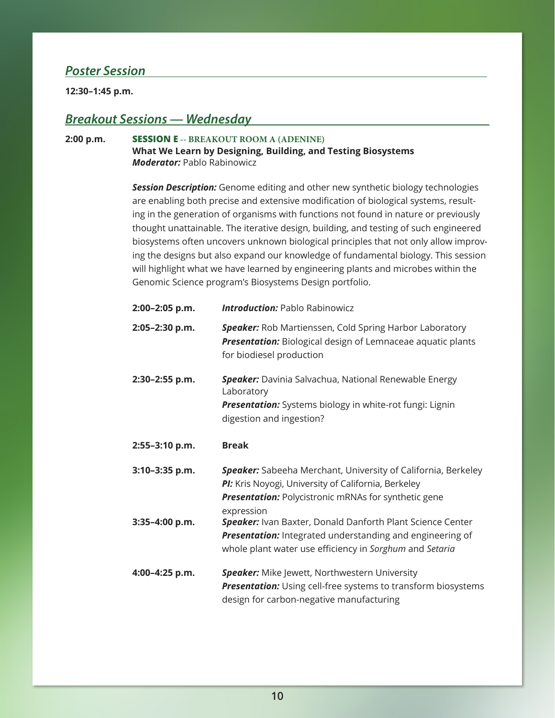### <span id="page-9-0"></span>*Poster Session*

**12:30–1:45 p.m.** 

### *Breakout Sessions — Wednesday*

#### **2:00 p.m. SESSION E -- BREAKOUT ROOM A (ADENINE)**

**What We Learn by Designing, Building, and Testing Biosystems**  *Moderator:* Pablo Rabinowicz

**Session Description:** Genome editing and other new synthetic biology technologies are enabling both precise and extensive modification of biological systems, resulting in the generation of organisms with functions not found in nature or previously thought unattainable. The iterative design, building, and testing of such engineered biosystems often uncovers unknown biological principles that not only allow improving the designs but also expand our knowledge of fundamental biology. This session will highlight what we have learned by engineering plants and microbes within the Genomic Science program's Biosystems Design portfolio.

| 2:00-2:05 p.m. | <b>Introduction: Pablo Rabinowicz</b>                                                                                                                                                             |
|----------------|---------------------------------------------------------------------------------------------------------------------------------------------------------------------------------------------------|
| 2:05-2:30 p.m. | <b>Speaker:</b> Rob Martienssen, Cold Spring Harbor Laboratory<br><b>Presentation:</b> Biological design of Lemnaceae aquatic plants<br>for biodiesel production                                  |
| 2:30-2:55 p.m. | <b>Speaker:</b> Davinia Salvachua, National Renewable Energy<br>Laboratory<br>Presentation: Systems biology in white-rot fungi: Lignin<br>digestion and ingestion?                                |
| 2:55-3:10 p.m. | <b>Break</b>                                                                                                                                                                                      |
| 3:10-3:35 p.m. | Speaker: Sabeeha Merchant, University of California, Berkeley<br>PI: Kris Noyogi, University of California, Berkeley<br><b>Presentation:</b> Polycistronic mRNAs for synthetic gene<br>expression |
| 3:35-4:00 p.m. | Speaker: Ivan Baxter, Donald Danforth Plant Science Center<br>Presentation: Integrated understanding and engineering of<br>whole plant water use efficiency in Sorghum and Setaria                |
| 4:00-4:25 p.m. | <b>Speaker:</b> Mike Jewett, Northwestern University<br><b>Presentation:</b> Using cell-free systems to transform biosystems<br>design for carbon-negative manufacturing                          |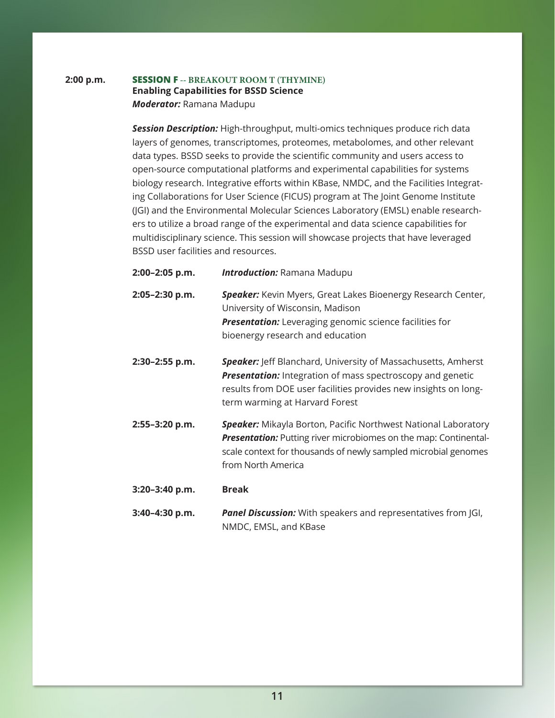#### **2:00 p.m. SESSION F -- BREAKOUT ROOM T (THYMINE) Enabling Capabilities for BSSD Science** *Moderator:* Ramana Madupu

*Session Description:* High-throughput, multi-omics techniques produce rich data layers of genomes, transcriptomes, proteomes, metabolomes, and other relevant data types. BSSD seeks to provide the scientific community and users access to open-source computational platforms and experimental capabilities for systems biology research. Integrative efforts within KBase, NMDC, and the Facilities Integrating Collaborations for User Science (FICUS) program at The Joint Genome Institute (JGI) and the Environmental Molecular Sciences Laboratory (EMSL) enable researchers to utilize a broad range of the experimental and data science capabilities for multidisciplinary science. This session will showcase projects that have leveraged BSSD user facilities and resources.

**2:00–2:05 p.m.** *Introduction:* Ramana Madupu **2:05–2:30 p.m.** *Speaker:* Kevin Myers, Great Lakes Bioenergy Research Center, University of Wisconsin, Madison *Presentation:* Leveraging genomic science facilities for bioenergy research and education **2:30–2:55 p.m.** *Speaker:* Jeff Blanchard, University of Massachusetts, Amherst **Presentation:** Integration of mass spectroscopy and genetic results from DOE user facilities provides new insights on longterm warming at Harvard Forest **2:55–3:20 p.m.** *Speaker:* Mikayla Borton, Pacific Northwest National Laboratory **Presentation:** Putting river microbiomes on the map: Continentalscale context for thousands of newly sampled microbial genomes from North America **3:20–3:40 p.m. Break**

#### **3:40–4:30 p.m.** *Panel Discussion:* With speakers and representatives from JGI, NMDC, EMSL, and KBase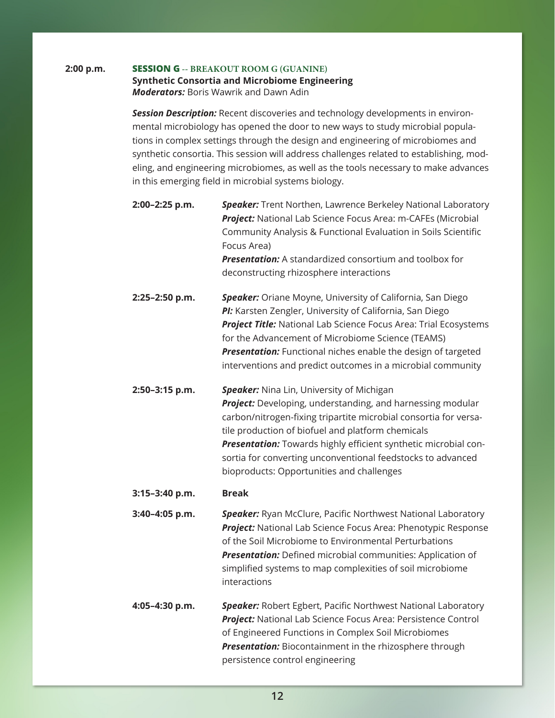#### **2:00 p.m. SESSION G -- BREAKOUT ROOM G (GUANINE)**

#### **Synthetic Consortia and Microbiome Engineering**  *Moderators:* Boris Wawrik and Dawn Adin

*Session Description:* Recent discoveries and technology developments in environmental microbiology has opened the door to new ways to study microbial populations in complex settings through the design and engineering of microbiomes and synthetic consortia. This session will address challenges related to establishing, modeling, and engineering microbiomes, as well as the tools necessary to make advances in this emerging field in microbial systems biology.

- **2:00–2:25 p.m.** *Speaker:* Trent Northen, Lawrence Berkeley National Laboratory *Project:* National Lab Science Focus Area: m-CAFEs (Microbial Community Analysis & Functional Evaluation in Soils Scientific Focus Area) *Presentation:* A standardized consortium and toolbox for deconstructing rhizosphere interactions
- **2:25–2:50 p.m.** *Speaker:* Oriane Moyne, University of California, San Diego *PI:* Karsten Zengler, University of California, San Diego *Project Title:* National Lab Science Focus Area: Trial Ecosystems for the Advancement of Microbiome Science (TEAMS) **Presentation:** Functional niches enable the design of targeted interventions and predict outcomes in a microbial community
- **2:50–3:15 p.m.** *Speaker:* Nina Lin, University of Michigan *Project:* Developing, understanding, and harnessing modular carbon/nitrogen-fixing tripartite microbial consortia for versatile production of biofuel and platform chemicals *Presentation:* Towards highly efficient synthetic microbial consortia for converting unconventional feedstocks to advanced bioproducts: Opportunities and challenges

#### **3:15–3:40 p.m. Break**

**3:40–4:05 p.m.** *Speaker:* Ryan McClure, Pacific Northwest National Laboratory *Project:* National Lab Science Focus Area: Phenotypic Response of the Soil Microbiome to Environmental Perturbations *Presentation:* Defined microbial communities: Application of simplified systems to map complexities of soil microbiome interactions

**4:05–4:30 p.m.** *Speaker:* Robert Egbert, Pacific Northwest National Laboratory *Project:* National Lab Science Focus Area: Persistence Control of Engineered Functions in Complex Soil Microbiomes *Presentation:* Biocontainment in the rhizosphere through persistence control engineering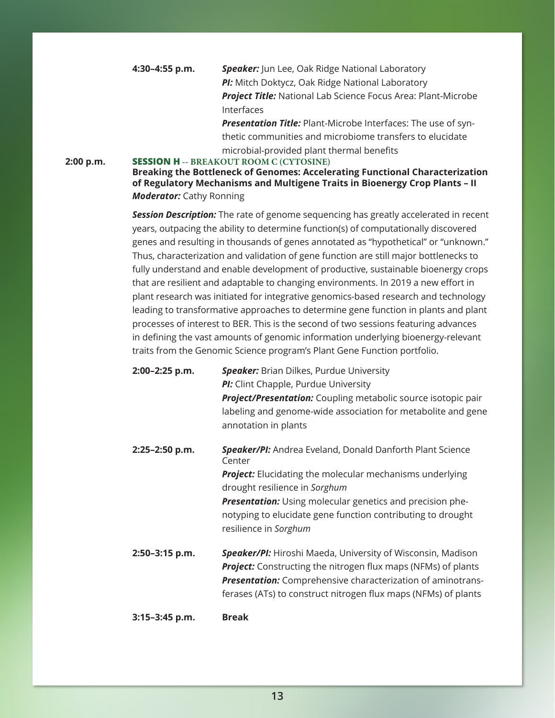**4:30–4:55 p.m.** *Speaker:* Jun Lee, Oak Ridge National Laboratory *PI:* Mitch Doktycz, Oak Ridge National Laboratory *Project Title:* National Lab Science Focus Area: Plant-Microbe Interfaces

> *Presentation Title:* Plant-Microbe Interfaces: The use of synthetic communities and microbiome transfers to elucidate microbial-provided plant thermal benefits

#### **2:00 p.m. SESSION H -- BREAKOUT ROOM C (CYTOSINE)**

**Breaking the Bottleneck of Genomes: Accelerating Functional Characterization of Regulatory Mechanisms and Multigene Traits in Bioenergy Crop Plants – II** *Moderator:* Cathy Ronning

*Session Description:* The rate of genome sequencing has greatly accelerated in recent years, outpacing the ability to determine function(s) of computationally discovered genes and resulting in thousands of genes annotated as "hypothetical" or "unknown." Thus, characterization and validation of gene function are still major bottlenecks to fully understand and enable development of productive, sustainable bioenergy crops that are resilient and adaptable to changing environments. In 2019 a new effort in plant research was initiated for integrative genomics-based research and technology leading to transformative approaches to determine gene function in plants and plant processes of interest to BER. This is the second of two sessions featuring advances in defining the vast amounts of genomic information underlying bioenergy-relevant traits from the Genomic Science program's Plant Gene Function portfolio.

| 2:00-2:25 p.m. | <b>Speaker:</b> Brian Dilkes, Purdue University                      |
|----------------|----------------------------------------------------------------------|
|                | PI: Clint Chapple, Purdue University                                 |
|                | <b>Project/Presentation:</b> Coupling metabolic source isotopic pair |
|                | labeling and genome-wide association for metabolite and gene         |
|                | annotation in plants                                                 |
|                |                                                                      |

**2:25–2:50 p.m.** *Speaker/PI:* Andrea Eveland, Donald Danforth Plant Science Center *Project:* Elucidating the molecular mechanisms underlying drought resilience in *Sorghum*

> *Presentation:* Using molecular genetics and precision phenotyping to elucidate gene function contributing to drought resilience in *Sorghum*

**2:50–3:15 p.m.** *Speaker/PI:* Hiroshi Maeda, University of Wisconsin, Madison *Project:* Constructing the nitrogen flux maps (NFMs) of plants *Presentation:* Comprehensive characterization of aminotransferases (ATs) to construct nitrogen flux maps (NFMs) of plants

#### **3:15–3:45 p.m. Break**